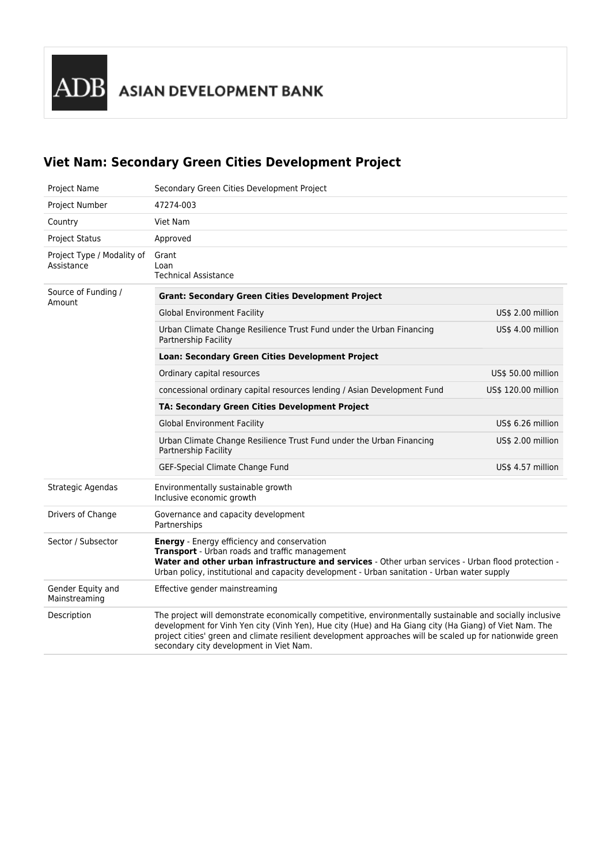ADB ASIAN DEVELOPMENT BANK

## **Viet Nam: Secondary Green Cities Development Project**

| <b>Project Name</b>                      | Secondary Green Cities Development Project                                                                                                                                                                                                                                                                                                                                  |                     |
|------------------------------------------|-----------------------------------------------------------------------------------------------------------------------------------------------------------------------------------------------------------------------------------------------------------------------------------------------------------------------------------------------------------------------------|---------------------|
| Project Number                           | 47274-003                                                                                                                                                                                                                                                                                                                                                                   |                     |
| Country                                  | Viet Nam                                                                                                                                                                                                                                                                                                                                                                    |                     |
| <b>Project Status</b>                    | Approved                                                                                                                                                                                                                                                                                                                                                                    |                     |
| Project Type / Modality of<br>Assistance | Grant<br>Loan<br><b>Technical Assistance</b>                                                                                                                                                                                                                                                                                                                                |                     |
| Source of Funding /<br>Amount            | <b>Grant: Secondary Green Cities Development Project</b>                                                                                                                                                                                                                                                                                                                    |                     |
|                                          | <b>Global Environment Facility</b>                                                                                                                                                                                                                                                                                                                                          | US\$ 2.00 million   |
|                                          | Urban Climate Change Resilience Trust Fund under the Urban Financing<br>Partnership Facility                                                                                                                                                                                                                                                                                | US\$ 4.00 million   |
|                                          | Loan: Secondary Green Cities Development Project                                                                                                                                                                                                                                                                                                                            |                     |
|                                          | Ordinary capital resources                                                                                                                                                                                                                                                                                                                                                  | US\$ 50.00 million  |
|                                          | concessional ordinary capital resources lending / Asian Development Fund                                                                                                                                                                                                                                                                                                    | US\$ 120.00 million |
|                                          | TA: Secondary Green Cities Development Project                                                                                                                                                                                                                                                                                                                              |                     |
|                                          | <b>Global Environment Facility</b>                                                                                                                                                                                                                                                                                                                                          | US\$ 6.26 million   |
|                                          | Urban Climate Change Resilience Trust Fund under the Urban Financing<br>Partnership Facility                                                                                                                                                                                                                                                                                | US\$ 2.00 million   |
|                                          | GEF-Special Climate Change Fund                                                                                                                                                                                                                                                                                                                                             | US\$ 4.57 million   |
| Strategic Agendas                        | Environmentally sustainable growth<br>Inclusive economic growth                                                                                                                                                                                                                                                                                                             |                     |
| Drivers of Change                        | Governance and capacity development<br>Partnerships                                                                                                                                                                                                                                                                                                                         |                     |
| Sector / Subsector                       | <b>Energy</b> - Energy efficiency and conservation<br>Transport - Urban roads and traffic management<br>Water and other urban infrastructure and services - Other urban services - Urban flood protection -<br>Urban policy, institutional and capacity development - Urban sanitation - Urban water supply                                                                 |                     |
| Gender Equity and<br>Mainstreaming       | Effective gender mainstreaming                                                                                                                                                                                                                                                                                                                                              |                     |
| Description                              | The project will demonstrate economically competitive, environmentally sustainable and socially inclusive<br>development for Vinh Yen city (Vinh Yen), Hue city (Hue) and Ha Giang city (Ha Giang) of Viet Nam. The<br>project cities' green and climate resilient development approaches will be scaled up for nationwide green<br>secondary city development in Viet Nam. |                     |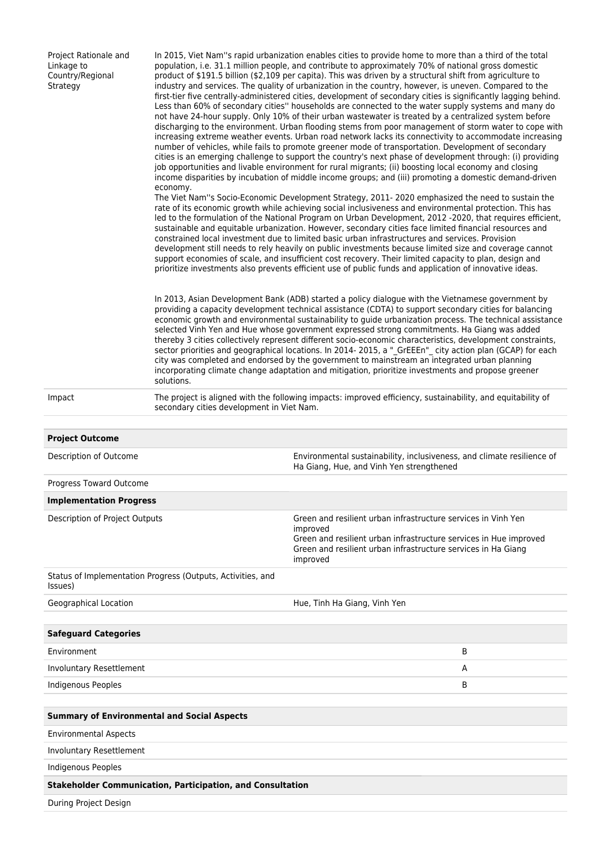| Project Rationale and<br>Linkage to<br>Country/Regional<br>Strategy    | In 2015, Viet Nam"s rapid urbanization enables cities to provide home to more than a third of the total<br>population, i.e. 31.1 million people, and contribute to approximately 70% of national gross domestic<br>product of \$191.5 billion (\$2,109 per capita). This was driven by a structural shift from agriculture to<br>industry and services. The quality of urbanization in the country, however, is uneven. Compared to the<br>first-tier five centrally-administered cities, development of secondary cities is significantly lagging behind.<br>Less than 60% of secondary cities" households are connected to the water supply systems and many do<br>not have 24-hour supply. Only 10% of their urban wastewater is treated by a centralized system before<br>discharging to the environment. Urban flooding stems from poor management of storm water to cope with<br>increasing extreme weather events. Urban road network lacks its connectivity to accommodate increasing<br>number of vehicles, while fails to promote greener mode of transportation. Development of secondary<br>cities is an emerging challenge to support the country's next phase of development through: (i) providing<br>job opportunities and livable environment for rural migrants; (ii) boosting local economy and closing<br>income disparities by incubation of middle income groups; and (iii) promoting a domestic demand-driven<br>economy.<br>The Viet Nam"s Socio-Economic Development Strategy, 2011-2020 emphasized the need to sustain the<br>rate of its economic growth while achieving social inclusiveness and environmental protection. This has<br>led to the formulation of the National Program on Urban Development, 2012 -2020, that requires efficient,<br>sustainable and equitable urbanization. However, secondary cities face limited financial resources and<br>constrained local investment due to limited basic urban infrastructures and services. Provision<br>development still needs to rely heavily on public investments because limited size and coverage cannot<br>support economies of scale, and insufficient cost recovery. Their limited capacity to plan, design and<br>prioritize investments also prevents efficient use of public funds and application of innovative ideas.<br>In 2013, Asian Development Bank (ADB) started a policy dialogue with the Vietnamese government by<br>providing a capacity development technical assistance (CDTA) to support secondary cities for balancing<br>economic growth and environmental sustainability to guide urbanization process. The technical assistance<br>selected Vinh Yen and Hue whose government expressed strong commitments. Ha Giang was added<br>thereby 3 cities collectively represent different socio-economic characteristics, development constraints,<br>sector priorities and geographical locations. In 2014-2015, a "_GrEEEn"_ city action plan (GCAP) for each<br>city was completed and endorsed by the government to mainstream an integrated urban planning<br>incorporating climate change adaptation and mitigation, prioritize investments and propose greener |                                                                                                                                                                                                                             |  |  |
|------------------------------------------------------------------------|-------------------------------------------------------------------------------------------------------------------------------------------------------------------------------------------------------------------------------------------------------------------------------------------------------------------------------------------------------------------------------------------------------------------------------------------------------------------------------------------------------------------------------------------------------------------------------------------------------------------------------------------------------------------------------------------------------------------------------------------------------------------------------------------------------------------------------------------------------------------------------------------------------------------------------------------------------------------------------------------------------------------------------------------------------------------------------------------------------------------------------------------------------------------------------------------------------------------------------------------------------------------------------------------------------------------------------------------------------------------------------------------------------------------------------------------------------------------------------------------------------------------------------------------------------------------------------------------------------------------------------------------------------------------------------------------------------------------------------------------------------------------------------------------------------------------------------------------------------------------------------------------------------------------------------------------------------------------------------------------------------------------------------------------------------------------------------------------------------------------------------------------------------------------------------------------------------------------------------------------------------------------------------------------------------------------------------------------------------------------------------------------------------------------------------------------------------------------------------------------------------------------------------------------------------------------------------------------------------------------------------------------------------------------------------------------------------------------------------------------------------------------------------------------------------------------------------------------------------------------------------------------------------------------------------------------------------------------------------------------------------------------------------------------------------------------------------------------------------------------------------------------------------------------------------------|-----------------------------------------------------------------------------------------------------------------------------------------------------------------------------------------------------------------------------|--|--|
| Impact                                                                 | solutions.<br>The project is aligned with the following impacts: improved efficiency, sustainability, and equitability of<br>secondary cities development in Viet Nam.                                                                                                                                                                                                                                                                                                                                                                                                                                                                                                                                                                                                                                                                                                                                                                                                                                                                                                                                                                                                                                                                                                                                                                                                                                                                                                                                                                                                                                                                                                                                                                                                                                                                                                                                                                                                                                                                                                                                                                                                                                                                                                                                                                                                                                                                                                                                                                                                                                                                                                                                                                                                                                                                                                                                                                                                                                                                                                                                                                                                              |                                                                                                                                                                                                                             |  |  |
|                                                                        |                                                                                                                                                                                                                                                                                                                                                                                                                                                                                                                                                                                                                                                                                                                                                                                                                                                                                                                                                                                                                                                                                                                                                                                                                                                                                                                                                                                                                                                                                                                                                                                                                                                                                                                                                                                                                                                                                                                                                                                                                                                                                                                                                                                                                                                                                                                                                                                                                                                                                                                                                                                                                                                                                                                                                                                                                                                                                                                                                                                                                                                                                                                                                                                     |                                                                                                                                                                                                                             |  |  |
| <b>Project Outcome</b>                                                 |                                                                                                                                                                                                                                                                                                                                                                                                                                                                                                                                                                                                                                                                                                                                                                                                                                                                                                                                                                                                                                                                                                                                                                                                                                                                                                                                                                                                                                                                                                                                                                                                                                                                                                                                                                                                                                                                                                                                                                                                                                                                                                                                                                                                                                                                                                                                                                                                                                                                                                                                                                                                                                                                                                                                                                                                                                                                                                                                                                                                                                                                                                                                                                                     |                                                                                                                                                                                                                             |  |  |
| Description of Outcome                                                 |                                                                                                                                                                                                                                                                                                                                                                                                                                                                                                                                                                                                                                                                                                                                                                                                                                                                                                                                                                                                                                                                                                                                                                                                                                                                                                                                                                                                                                                                                                                                                                                                                                                                                                                                                                                                                                                                                                                                                                                                                                                                                                                                                                                                                                                                                                                                                                                                                                                                                                                                                                                                                                                                                                                                                                                                                                                                                                                                                                                                                                                                                                                                                                                     | Environmental sustainability, inclusiveness, and climate resilience of<br>Ha Giang, Hue, and Vinh Yen strengthened                                                                                                          |  |  |
| Progress Toward Outcome                                                |                                                                                                                                                                                                                                                                                                                                                                                                                                                                                                                                                                                                                                                                                                                                                                                                                                                                                                                                                                                                                                                                                                                                                                                                                                                                                                                                                                                                                                                                                                                                                                                                                                                                                                                                                                                                                                                                                                                                                                                                                                                                                                                                                                                                                                                                                                                                                                                                                                                                                                                                                                                                                                                                                                                                                                                                                                                                                                                                                                                                                                                                                                                                                                                     |                                                                                                                                                                                                                             |  |  |
| <b>Implementation Progress</b>                                         |                                                                                                                                                                                                                                                                                                                                                                                                                                                                                                                                                                                                                                                                                                                                                                                                                                                                                                                                                                                                                                                                                                                                                                                                                                                                                                                                                                                                                                                                                                                                                                                                                                                                                                                                                                                                                                                                                                                                                                                                                                                                                                                                                                                                                                                                                                                                                                                                                                                                                                                                                                                                                                                                                                                                                                                                                                                                                                                                                                                                                                                                                                                                                                                     |                                                                                                                                                                                                                             |  |  |
| Description of Project Outputs                                         |                                                                                                                                                                                                                                                                                                                                                                                                                                                                                                                                                                                                                                                                                                                                                                                                                                                                                                                                                                                                                                                                                                                                                                                                                                                                                                                                                                                                                                                                                                                                                                                                                                                                                                                                                                                                                                                                                                                                                                                                                                                                                                                                                                                                                                                                                                                                                                                                                                                                                                                                                                                                                                                                                                                                                                                                                                                                                                                                                                                                                                                                                                                                                                                     | Green and resilient urban infrastructure services in Vinh Yen<br>improved<br>Green and resilient urban infrastructure services in Hue improved<br>Green and resilient urban infrastructure services in Ha Giang<br>improved |  |  |
| Status of Implementation Progress (Outputs, Activities, and<br>Issues) |                                                                                                                                                                                                                                                                                                                                                                                                                                                                                                                                                                                                                                                                                                                                                                                                                                                                                                                                                                                                                                                                                                                                                                                                                                                                                                                                                                                                                                                                                                                                                                                                                                                                                                                                                                                                                                                                                                                                                                                                                                                                                                                                                                                                                                                                                                                                                                                                                                                                                                                                                                                                                                                                                                                                                                                                                                                                                                                                                                                                                                                                                                                                                                                     |                                                                                                                                                                                                                             |  |  |
| Geographical Location                                                  |                                                                                                                                                                                                                                                                                                                                                                                                                                                                                                                                                                                                                                                                                                                                                                                                                                                                                                                                                                                                                                                                                                                                                                                                                                                                                                                                                                                                                                                                                                                                                                                                                                                                                                                                                                                                                                                                                                                                                                                                                                                                                                                                                                                                                                                                                                                                                                                                                                                                                                                                                                                                                                                                                                                                                                                                                                                                                                                                                                                                                                                                                                                                                                                     | Hue, Tinh Ha Giang, Vinh Yen                                                                                                                                                                                                |  |  |
|                                                                        |                                                                                                                                                                                                                                                                                                                                                                                                                                                                                                                                                                                                                                                                                                                                                                                                                                                                                                                                                                                                                                                                                                                                                                                                                                                                                                                                                                                                                                                                                                                                                                                                                                                                                                                                                                                                                                                                                                                                                                                                                                                                                                                                                                                                                                                                                                                                                                                                                                                                                                                                                                                                                                                                                                                                                                                                                                                                                                                                                                                                                                                                                                                                                                                     |                                                                                                                                                                                                                             |  |  |
| <b>Safeguard Categories</b>                                            |                                                                                                                                                                                                                                                                                                                                                                                                                                                                                                                                                                                                                                                                                                                                                                                                                                                                                                                                                                                                                                                                                                                                                                                                                                                                                                                                                                                                                                                                                                                                                                                                                                                                                                                                                                                                                                                                                                                                                                                                                                                                                                                                                                                                                                                                                                                                                                                                                                                                                                                                                                                                                                                                                                                                                                                                                                                                                                                                                                                                                                                                                                                                                                                     |                                                                                                                                                                                                                             |  |  |
| Environment                                                            |                                                                                                                                                                                                                                                                                                                                                                                                                                                                                                                                                                                                                                                                                                                                                                                                                                                                                                                                                                                                                                                                                                                                                                                                                                                                                                                                                                                                                                                                                                                                                                                                                                                                                                                                                                                                                                                                                                                                                                                                                                                                                                                                                                                                                                                                                                                                                                                                                                                                                                                                                                                                                                                                                                                                                                                                                                                                                                                                                                                                                                                                                                                                                                                     | В                                                                                                                                                                                                                           |  |  |
| <b>Involuntary Resettlement</b>                                        |                                                                                                                                                                                                                                                                                                                                                                                                                                                                                                                                                                                                                                                                                                                                                                                                                                                                                                                                                                                                                                                                                                                                                                                                                                                                                                                                                                                                                                                                                                                                                                                                                                                                                                                                                                                                                                                                                                                                                                                                                                                                                                                                                                                                                                                                                                                                                                                                                                                                                                                                                                                                                                                                                                                                                                                                                                                                                                                                                                                                                                                                                                                                                                                     | Α                                                                                                                                                                                                                           |  |  |
| Indigenous Peoples                                                     |                                                                                                                                                                                                                                                                                                                                                                                                                                                                                                                                                                                                                                                                                                                                                                                                                                                                                                                                                                                                                                                                                                                                                                                                                                                                                                                                                                                                                                                                                                                                                                                                                                                                                                                                                                                                                                                                                                                                                                                                                                                                                                                                                                                                                                                                                                                                                                                                                                                                                                                                                                                                                                                                                                                                                                                                                                                                                                                                                                                                                                                                                                                                                                                     | В                                                                                                                                                                                                                           |  |  |
| <b>Summary of Environmental and Social Aspects</b>                     |                                                                                                                                                                                                                                                                                                                                                                                                                                                                                                                                                                                                                                                                                                                                                                                                                                                                                                                                                                                                                                                                                                                                                                                                                                                                                                                                                                                                                                                                                                                                                                                                                                                                                                                                                                                                                                                                                                                                                                                                                                                                                                                                                                                                                                                                                                                                                                                                                                                                                                                                                                                                                                                                                                                                                                                                                                                                                                                                                                                                                                                                                                                                                                                     |                                                                                                                                                                                                                             |  |  |
| <b>Environmental Aspects</b>                                           |                                                                                                                                                                                                                                                                                                                                                                                                                                                                                                                                                                                                                                                                                                                                                                                                                                                                                                                                                                                                                                                                                                                                                                                                                                                                                                                                                                                                                                                                                                                                                                                                                                                                                                                                                                                                                                                                                                                                                                                                                                                                                                                                                                                                                                                                                                                                                                                                                                                                                                                                                                                                                                                                                                                                                                                                                                                                                                                                                                                                                                                                                                                                                                                     |                                                                                                                                                                                                                             |  |  |
| Involuntary Resettlement                                               |                                                                                                                                                                                                                                                                                                                                                                                                                                                                                                                                                                                                                                                                                                                                                                                                                                                                                                                                                                                                                                                                                                                                                                                                                                                                                                                                                                                                                                                                                                                                                                                                                                                                                                                                                                                                                                                                                                                                                                                                                                                                                                                                                                                                                                                                                                                                                                                                                                                                                                                                                                                                                                                                                                                                                                                                                                                                                                                                                                                                                                                                                                                                                                                     |                                                                                                                                                                                                                             |  |  |
| <b>Indigenous Peoples</b>                                              |                                                                                                                                                                                                                                                                                                                                                                                                                                                                                                                                                                                                                                                                                                                                                                                                                                                                                                                                                                                                                                                                                                                                                                                                                                                                                                                                                                                                                                                                                                                                                                                                                                                                                                                                                                                                                                                                                                                                                                                                                                                                                                                                                                                                                                                                                                                                                                                                                                                                                                                                                                                                                                                                                                                                                                                                                                                                                                                                                                                                                                                                                                                                                                                     |                                                                                                                                                                                                                             |  |  |
| <b>Stakeholder Communication, Participation, and Consultation</b>      |                                                                                                                                                                                                                                                                                                                                                                                                                                                                                                                                                                                                                                                                                                                                                                                                                                                                                                                                                                                                                                                                                                                                                                                                                                                                                                                                                                                                                                                                                                                                                                                                                                                                                                                                                                                                                                                                                                                                                                                                                                                                                                                                                                                                                                                                                                                                                                                                                                                                                                                                                                                                                                                                                                                                                                                                                                                                                                                                                                                                                                                                                                                                                                                     |                                                                                                                                                                                                                             |  |  |
| During Project Design                                                  |                                                                                                                                                                                                                                                                                                                                                                                                                                                                                                                                                                                                                                                                                                                                                                                                                                                                                                                                                                                                                                                                                                                                                                                                                                                                                                                                                                                                                                                                                                                                                                                                                                                                                                                                                                                                                                                                                                                                                                                                                                                                                                                                                                                                                                                                                                                                                                                                                                                                                                                                                                                                                                                                                                                                                                                                                                                                                                                                                                                                                                                                                                                                                                                     |                                                                                                                                                                                                                             |  |  |